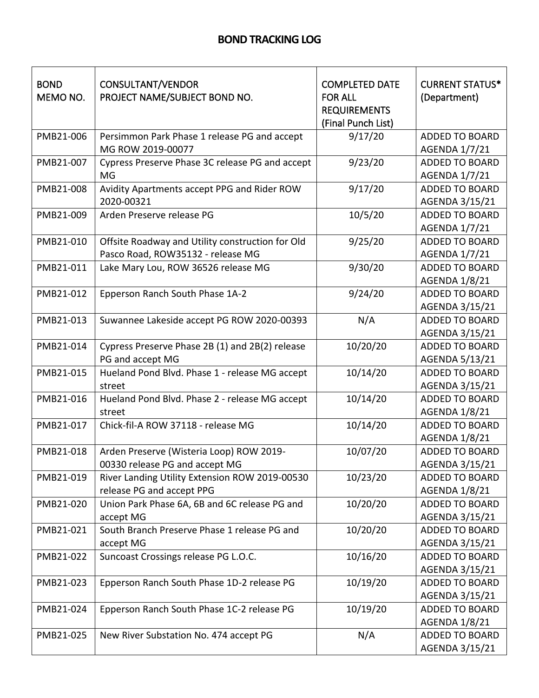| <b>BOND</b><br>MEMO NO. | CONSULTANT/VENDOR<br>PROJECT NAME/SUBJECT BOND NO.                                    | <b>COMPLETED DATE</b><br><b>FOR ALL</b><br><b>REQUIREMENTS</b><br>(Final Punch List) | <b>CURRENT STATUS*</b><br>(Department)        |
|-------------------------|---------------------------------------------------------------------------------------|--------------------------------------------------------------------------------------|-----------------------------------------------|
| PMB21-006               | Persimmon Park Phase 1 release PG and accept<br>MG ROW 2019-00077                     | 9/17/20                                                                              | <b>ADDED TO BOARD</b><br>AGENDA 1/7/21        |
| PMB21-007               | Cypress Preserve Phase 3C release PG and accept<br><b>MG</b>                          | 9/23/20                                                                              | <b>ADDED TO BOARD</b><br><b>AGENDA 1/7/21</b> |
| PMB21-008               | Avidity Apartments accept PPG and Rider ROW<br>2020-00321                             | 9/17/20                                                                              | <b>ADDED TO BOARD</b><br>AGENDA 3/15/21       |
| PMB21-009               | Arden Preserve release PG                                                             | 10/5/20                                                                              | <b>ADDED TO BOARD</b><br>AGENDA 1/7/21        |
| PMB21-010               | Offsite Roadway and Utility construction for Old<br>Pasco Road, ROW35132 - release MG | 9/25/20                                                                              | <b>ADDED TO BOARD</b><br>AGENDA 1/7/21        |
| PMB21-011               | Lake Mary Lou, ROW 36526 release MG                                                   | 9/30/20                                                                              | <b>ADDED TO BOARD</b><br>AGENDA 1/8/21        |
| PMB21-012               | Epperson Ranch South Phase 1A-2                                                       | 9/24/20                                                                              | ADDED TO BOARD<br>AGENDA 3/15/21              |
| PMB21-013               | Suwannee Lakeside accept PG ROW 2020-00393                                            | N/A                                                                                  | <b>ADDED TO BOARD</b><br>AGENDA 3/15/21       |
| PMB21-014               | Cypress Preserve Phase 2B (1) and 2B(2) release<br>PG and accept MG                   | 10/20/20                                                                             | <b>ADDED TO BOARD</b><br>AGENDA 5/13/21       |
| PMB21-015               | Hueland Pond Blvd. Phase 1 - release MG accept<br>street                              | 10/14/20                                                                             | <b>ADDED TO BOARD</b><br>AGENDA 3/15/21       |
| PMB21-016               | Hueland Pond Blvd. Phase 2 - release MG accept<br>street                              | 10/14/20                                                                             | <b>ADDED TO BOARD</b><br>AGENDA 1/8/21        |
| PMB21-017               | Chick-fil-A ROW 37118 - release MG                                                    | 10/14/20                                                                             | <b>ADDED TO BOARD</b><br>AGENDA 1/8/21        |
| PMB21-018               | Arden Preserve (Wisteria Loop) ROW 2019-<br>00330 release PG and accept MG            | 10/07/20                                                                             | <b>ADDED TO BOARD</b><br>AGENDA 3/15/21       |
| PMB21-019               | River Landing Utility Extension ROW 2019-00530<br>release PG and accept PPG           | 10/23/20                                                                             | <b>ADDED TO BOARD</b><br>AGENDA 1/8/21        |
| PMB21-020               | Union Park Phase 6A, 6B and 6C release PG and<br>accept MG                            | 10/20/20                                                                             | <b>ADDED TO BOARD</b><br>AGENDA 3/15/21       |
| PMB21-021               | South Branch Preserve Phase 1 release PG and<br>accept MG                             | 10/20/20                                                                             | <b>ADDED TO BOARD</b><br>AGENDA 3/15/21       |
| PMB21-022               | Suncoast Crossings release PG L.O.C.                                                  | 10/16/20                                                                             | <b>ADDED TO BOARD</b><br>AGENDA 3/15/21       |
| PMB21-023               | Epperson Ranch South Phase 1D-2 release PG                                            | 10/19/20                                                                             | <b>ADDED TO BOARD</b><br>AGENDA 3/15/21       |
| PMB21-024               | Epperson Ranch South Phase 1C-2 release PG                                            | 10/19/20                                                                             | <b>ADDED TO BOARD</b><br>AGENDA 1/8/21        |
| PMB21-025               | New River Substation No. 474 accept PG                                                | N/A                                                                                  | <b>ADDED TO BOARD</b><br>AGENDA 3/15/21       |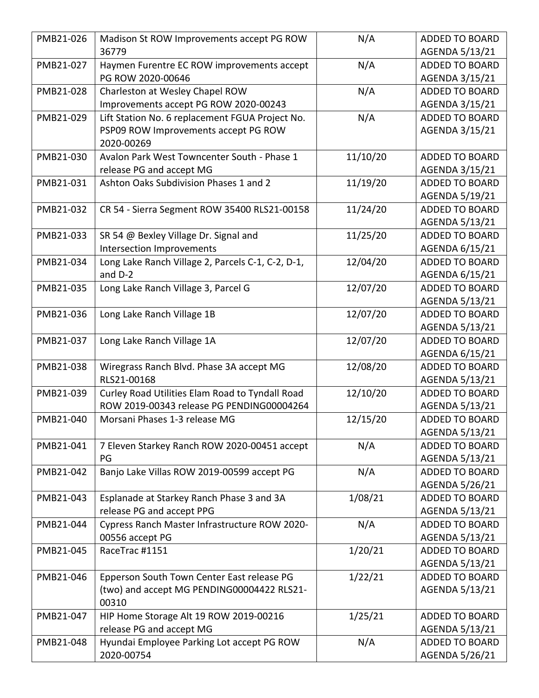| PMB21-026 | Madison St ROW Improvements accept PG ROW         | N/A      | <b>ADDED TO BOARD</b> |
|-----------|---------------------------------------------------|----------|-----------------------|
|           | 36779                                             |          | AGENDA 5/13/21        |
| PMB21-027 | Haymen Furentre EC ROW improvements accept        | N/A      | <b>ADDED TO BOARD</b> |
|           | PG ROW 2020-00646                                 |          | AGENDA 3/15/21        |
| PMB21-028 | Charleston at Wesley Chapel ROW                   | N/A      | <b>ADDED TO BOARD</b> |
|           | Improvements accept PG ROW 2020-00243             |          | AGENDA 3/15/21        |
| PMB21-029 | Lift Station No. 6 replacement FGUA Project No.   | N/A      | <b>ADDED TO BOARD</b> |
|           | PSP09 ROW Improvements accept PG ROW              |          | AGENDA 3/15/21        |
|           | 2020-00269                                        |          |                       |
| PMB21-030 | Avalon Park West Towncenter South - Phase 1       | 11/10/20 | <b>ADDED TO BOARD</b> |
|           | release PG and accept MG                          |          | AGENDA 3/15/21        |
| PMB21-031 | Ashton Oaks Subdivision Phases 1 and 2            | 11/19/20 | <b>ADDED TO BOARD</b> |
|           |                                                   |          | AGENDA 5/19/21        |
| PMB21-032 | CR 54 - Sierra Segment ROW 35400 RLS21-00158      | 11/24/20 | <b>ADDED TO BOARD</b> |
|           |                                                   |          | AGENDA 5/13/21        |
| PMB21-033 | SR 54 @ Bexley Village Dr. Signal and             | 11/25/20 | <b>ADDED TO BOARD</b> |
|           | Intersection Improvements                         |          | AGENDA 6/15/21        |
| PMB21-034 | Long Lake Ranch Village 2, Parcels C-1, C-2, D-1, | 12/04/20 | <b>ADDED TO BOARD</b> |
|           | and D-2                                           |          | AGENDA 6/15/21        |
| PMB21-035 | Long Lake Ranch Village 3, Parcel G               | 12/07/20 | <b>ADDED TO BOARD</b> |
|           |                                                   |          | AGENDA 5/13/21        |
| PMB21-036 | Long Lake Ranch Village 1B                        | 12/07/20 | <b>ADDED TO BOARD</b> |
|           |                                                   |          | AGENDA 5/13/21        |
| PMB21-037 | Long Lake Ranch Village 1A                        | 12/07/20 | <b>ADDED TO BOARD</b> |
|           |                                                   |          | AGENDA 6/15/21        |
| PMB21-038 | Wiregrass Ranch Blvd. Phase 3A accept MG          | 12/08/20 | <b>ADDED TO BOARD</b> |
|           | RLS21-00168                                       |          | AGENDA 5/13/21        |
| PMB21-039 | Curley Road Utilities Elam Road to Tyndall Road   | 12/10/20 | <b>ADDED TO BOARD</b> |
|           | ROW 2019-00343 release PG PENDING00004264         |          | AGENDA 5/13/21        |
| PMB21-040 | Morsani Phases 1-3 release MG                     | 12/15/20 | <b>ADDED TO BOARD</b> |
|           |                                                   |          | AGENDA 5/13/21        |
| PMB21-041 | 7 Eleven Starkey Ranch ROW 2020-00451 accept      | N/A      | <b>ADDED TO BOARD</b> |
|           | PG                                                |          | AGENDA 5/13/21        |
| PMB21-042 | Banjo Lake Villas ROW 2019-00599 accept PG        | N/A      | <b>ADDED TO BOARD</b> |
|           |                                                   |          | AGENDA 5/26/21        |
| PMB21-043 | Esplanade at Starkey Ranch Phase 3 and 3A         | 1/08/21  | <b>ADDED TO BOARD</b> |
|           | release PG and accept PPG                         |          | AGENDA 5/13/21        |
| PMB21-044 | Cypress Ranch Master Infrastructure ROW 2020-     | N/A      | <b>ADDED TO BOARD</b> |
|           | 00556 accept PG                                   |          | AGENDA 5/13/21        |
| PMB21-045 | RaceTrac #1151                                    | 1/20/21  | <b>ADDED TO BOARD</b> |
|           |                                                   |          | AGENDA 5/13/21        |
| PMB21-046 | Epperson South Town Center East release PG        | 1/22/21  | <b>ADDED TO BOARD</b> |
|           | (two) and accept MG PENDING00004422 RLS21-        |          | AGENDA 5/13/21        |
|           | 00310                                             |          |                       |
| PMB21-047 | HIP Home Storage Alt 19 ROW 2019-00216            | 1/25/21  | <b>ADDED TO BOARD</b> |
|           | release PG and accept MG                          |          | AGENDA 5/13/21        |
| PMB21-048 | Hyundai Employee Parking Lot accept PG ROW        | N/A      | <b>ADDED TO BOARD</b> |
|           | 2020-00754                                        |          | AGENDA 5/26/21        |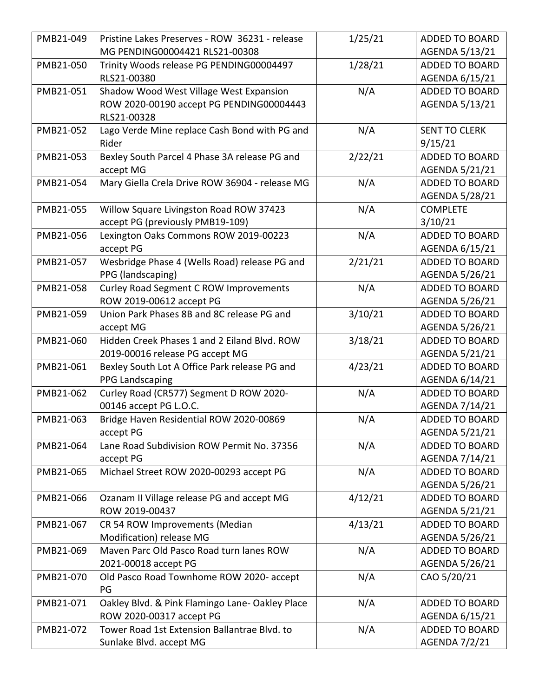| PMB21-049 | Pristine Lakes Preserves - ROW 36231 - release  | 1/25/21 | <b>ADDED TO BOARD</b> |
|-----------|-------------------------------------------------|---------|-----------------------|
|           | MG PENDING00004421 RLS21-00308                  |         | AGENDA 5/13/21        |
| PMB21-050 | Trinity Woods release PG PENDING00004497        | 1/28/21 | <b>ADDED TO BOARD</b> |
|           | RLS21-00380                                     |         | AGENDA 6/15/21        |
| PMB21-051 | Shadow Wood West Village West Expansion         | N/A     | <b>ADDED TO BOARD</b> |
|           | ROW 2020-00190 accept PG PENDING00004443        |         | AGENDA 5/13/21        |
|           | RLS21-00328                                     |         |                       |
| PMB21-052 | Lago Verde Mine replace Cash Bond with PG and   | N/A     | <b>SENT TO CLERK</b>  |
|           | Rider                                           |         | 9/15/21               |
| PMB21-053 | Bexley South Parcel 4 Phase 3A release PG and   | 2/22/21 | <b>ADDED TO BOARD</b> |
|           | accept MG                                       |         | AGENDA 5/21/21        |
| PMB21-054 | Mary Giella Crela Drive ROW 36904 - release MG  | N/A     | <b>ADDED TO BOARD</b> |
|           |                                                 |         | AGENDA 5/28/21        |
| PMB21-055 | Willow Square Livingston Road ROW 37423         | N/A     | <b>COMPLETE</b>       |
|           | accept PG (previously PMB19-109)                |         | 3/10/21               |
| PMB21-056 | Lexington Oaks Commons ROW 2019-00223           | N/A     | <b>ADDED TO BOARD</b> |
|           | accept PG                                       |         | AGENDA 6/15/21        |
| PMB21-057 | Wesbridge Phase 4 (Wells Road) release PG and   | 2/21/21 | <b>ADDED TO BOARD</b> |
|           | PPG (landscaping)                               |         | AGENDA 5/26/21        |
| PMB21-058 | <b>Curley Road Segment C ROW Improvements</b>   | N/A     | <b>ADDED TO BOARD</b> |
|           | ROW 2019-00612 accept PG                        |         | AGENDA 5/26/21        |
| PMB21-059 | Union Park Phases 8B and 8C release PG and      | 3/10/21 | <b>ADDED TO BOARD</b> |
|           | accept MG                                       |         | AGENDA 5/26/21        |
| PMB21-060 | Hidden Creek Phases 1 and 2 Eiland Blvd. ROW    | 3/18/21 | <b>ADDED TO BOARD</b> |
|           | 2019-00016 release PG accept MG                 |         | AGENDA 5/21/21        |
| PMB21-061 | Bexley South Lot A Office Park release PG and   | 4/23/21 | <b>ADDED TO BOARD</b> |
|           | PPG Landscaping                                 |         | AGENDA 6/14/21        |
| PMB21-062 | Curley Road (CR577) Segment D ROW 2020-         | N/A     | <b>ADDED TO BOARD</b> |
|           | 00146 accept PG L.O.C.                          |         | AGENDA 7/14/21        |
| PMB21-063 | Bridge Haven Residential ROW 2020-00869         | N/A     | <b>ADDED TO BOARD</b> |
|           | accept PG                                       |         | AGENDA 5/21/21        |
| PMB21-064 | Lane Road Subdivision ROW Permit No. 37356      | N/A     | <b>ADDED TO BOARD</b> |
|           | accept PG                                       |         | AGENDA 7/14/21        |
| PMB21-065 | Michael Street ROW 2020-00293 accept PG         | N/A     | <b>ADDED TO BOARD</b> |
|           |                                                 |         | AGENDA 5/26/21        |
| PMB21-066 | Ozanam II Village release PG and accept MG      | 4/12/21 | <b>ADDED TO BOARD</b> |
|           | ROW 2019-00437                                  |         | AGENDA 5/21/21        |
| PMB21-067 | CR 54 ROW Improvements (Median                  | 4/13/21 | <b>ADDED TO BOARD</b> |
|           | Modification) release MG                        |         | AGENDA 5/26/21        |
| PMB21-069 | Maven Parc Old Pasco Road turn lanes ROW        | N/A     | <b>ADDED TO BOARD</b> |
|           | 2021-00018 accept PG                            |         | AGENDA 5/26/21        |
| PMB21-070 | Old Pasco Road Townhome ROW 2020- accept        | N/A     | CAO 5/20/21           |
|           | PG                                              |         |                       |
| PMB21-071 | Oakley Blvd. & Pink Flamingo Lane- Oakley Place | N/A     | <b>ADDED TO BOARD</b> |
|           | ROW 2020-00317 accept PG                        |         | AGENDA 6/15/21        |
| PMB21-072 | Tower Road 1st Extension Ballantrae Blvd. to    | N/A     | <b>ADDED TO BOARD</b> |
|           | Sunlake Blvd. accept MG                         |         | AGENDA 7/2/21         |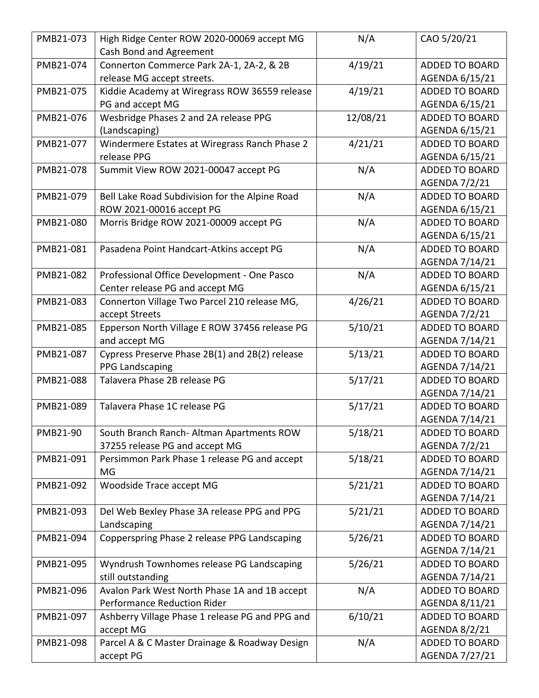| PMB21-073 | High Ridge Center ROW 2020-00069 accept MG      | N/A      | CAO 5/20/21           |
|-----------|-------------------------------------------------|----------|-----------------------|
|           | Cash Bond and Agreement                         |          |                       |
| PMB21-074 | Connerton Commerce Park 2A-1, 2A-2, & 2B        | 4/19/21  | <b>ADDED TO BOARD</b> |
|           | release MG accept streets.                      |          | AGENDA 6/15/21        |
| PMB21-075 | Kiddie Academy at Wiregrass ROW 36559 release   | 4/19/21  | <b>ADDED TO BOARD</b> |
|           | PG and accept MG                                |          | AGENDA 6/15/21        |
| PMB21-076 | Wesbridge Phases 2 and 2A release PPG           | 12/08/21 | <b>ADDED TO BOARD</b> |
|           | (Landscaping)                                   |          | AGENDA 6/15/21        |
| PMB21-077 | Windermere Estates at Wiregrass Ranch Phase 2   | 4/21/21  | <b>ADDED TO BOARD</b> |
|           | release PPG                                     |          | AGENDA 6/15/21        |
| PMB21-078 | Summit View ROW 2021-00047 accept PG            | N/A      | <b>ADDED TO BOARD</b> |
|           |                                                 |          | <b>AGENDA 7/2/21</b>  |
| PMB21-079 | Bell Lake Road Subdivision for the Alpine Road  | N/A      | <b>ADDED TO BOARD</b> |
|           | ROW 2021-00016 accept PG                        |          | AGENDA 6/15/21        |
| PMB21-080 | Morris Bridge ROW 2021-00009 accept PG          | N/A      | <b>ADDED TO BOARD</b> |
|           |                                                 |          | AGENDA 6/15/21        |
| PMB21-081 | Pasadena Point Handcart-Atkins accept PG        | N/A      | <b>ADDED TO BOARD</b> |
|           |                                                 |          | AGENDA 7/14/21        |
| PMB21-082 | Professional Office Development - One Pasco     | N/A      | <b>ADDED TO BOARD</b> |
|           | Center release PG and accept MG                 |          | AGENDA 6/15/21        |
| PMB21-083 | Connerton Village Two Parcel 210 release MG,    | 4/26/21  | <b>ADDED TO BOARD</b> |
|           | accept Streets                                  |          | AGENDA 7/2/21         |
| PMB21-085 | Epperson North Village E ROW 37456 release PG   | 5/10/21  | <b>ADDED TO BOARD</b> |
|           | and accept MG                                   |          | AGENDA 7/14/21        |
| PMB21-087 | Cypress Preserve Phase 2B(1) and 2B(2) release  | 5/13/21  | <b>ADDED TO BOARD</b> |
|           | PPG Landscaping                                 |          | AGENDA 7/14/21        |
| PMB21-088 | Talavera Phase 2B release PG                    | 5/17/21  | <b>ADDED TO BOARD</b> |
|           |                                                 |          | AGENDA 7/14/21        |
| PMB21-089 | Talavera Phase 1C release PG                    | 5/17/21  | <b>ADDED TO BOARD</b> |
|           |                                                 |          | AGENDA 7/14/21        |
| PMB21-90  | South Branch Ranch- Altman Apartments ROW       | 5/18/21  | <b>ADDED TO BOARD</b> |
|           | 37255 release PG and accept MG                  |          | AGENDA 7/2/21         |
| PMB21-091 | Persimmon Park Phase 1 release PG and accept    | 5/18/21  | <b>ADDED TO BOARD</b> |
|           | MG                                              |          | AGENDA 7/14/21        |
| PMB21-092 | Woodside Trace accept MG                        | 5/21/21  | <b>ADDED TO BOARD</b> |
|           |                                                 |          | AGENDA 7/14/21        |
| PMB21-093 | Del Web Bexley Phase 3A release PPG and PPG     | 5/21/21  | <b>ADDED TO BOARD</b> |
|           | Landscaping                                     |          | AGENDA 7/14/21        |
| PMB21-094 | Copperspring Phase 2 release PPG Landscaping    | 5/26/21  | <b>ADDED TO BOARD</b> |
|           |                                                 |          | AGENDA 7/14/21        |
| PMB21-095 | Wyndrush Townhomes release PG Landscaping       | 5/26/21  | <b>ADDED TO BOARD</b> |
|           | still outstanding                               |          | AGENDA 7/14/21        |
| PMB21-096 | Avalon Park West North Phase 1A and 1B accept   | N/A      | <b>ADDED TO BOARD</b> |
|           | <b>Performance Reduction Rider</b>              |          | AGENDA 8/11/21        |
| PMB21-097 | Ashberry Village Phase 1 release PG and PPG and | 6/10/21  | <b>ADDED TO BOARD</b> |
|           | accept MG                                       |          | AGENDA 8/2/21         |
| PMB21-098 | Parcel A & C Master Drainage & Roadway Design   | N/A      | <b>ADDED TO BOARD</b> |
|           | accept PG                                       |          | AGENDA 7/27/21        |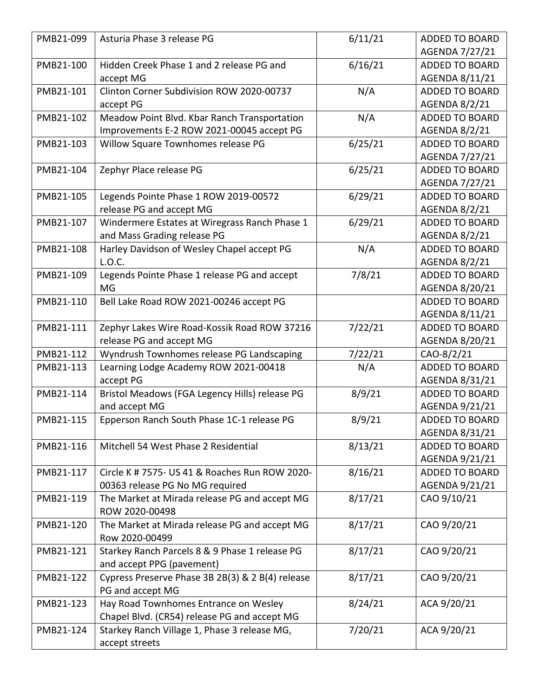| PMB21-099 | Asturia Phase 3 release PG                       | 6/11/21 | <b>ADDED TO BOARD</b> |
|-----------|--------------------------------------------------|---------|-----------------------|
|           |                                                  |         | AGENDA 7/27/21        |
| PMB21-100 | Hidden Creek Phase 1 and 2 release PG and        | 6/16/21 | <b>ADDED TO BOARD</b> |
|           | accept MG                                        |         | AGENDA 8/11/21        |
| PMB21-101 | Clinton Corner Subdivision ROW 2020-00737        | N/A     | <b>ADDED TO BOARD</b> |
|           | accept PG                                        |         | AGENDA 8/2/21         |
| PMB21-102 | Meadow Point Blvd. Kbar Ranch Transportation     | N/A     | <b>ADDED TO BOARD</b> |
|           | Improvements E-2 ROW 2021-00045 accept PG        |         | AGENDA 8/2/21         |
| PMB21-103 | Willow Square Townhomes release PG               | 6/25/21 | <b>ADDED TO BOARD</b> |
|           |                                                  |         | AGENDA 7/27/21        |
| PMB21-104 | Zephyr Place release PG                          | 6/25/21 | <b>ADDED TO BOARD</b> |
|           |                                                  |         | AGENDA 7/27/21        |
| PMB21-105 | Legends Pointe Phase 1 ROW 2019-00572            | 6/29/21 | <b>ADDED TO BOARD</b> |
|           | release PG and accept MG                         |         | AGENDA 8/2/21         |
| PMB21-107 | Windermere Estates at Wiregrass Ranch Phase 1    | 6/29/21 | <b>ADDED TO BOARD</b> |
|           | and Mass Grading release PG                      |         | AGENDA 8/2/21         |
| PMB21-108 | Harley Davidson of Wesley Chapel accept PG       | N/A     | <b>ADDED TO BOARD</b> |
|           | L.O.C.                                           |         | AGENDA 8/2/21         |
| PMB21-109 | Legends Pointe Phase 1 release PG and accept     | 7/8/21  | <b>ADDED TO BOARD</b> |
|           | MG                                               |         | AGENDA 8/20/21        |
| PMB21-110 | Bell Lake Road ROW 2021-00246 accept PG          |         | <b>ADDED TO BOARD</b> |
|           |                                                  |         | AGENDA 8/11/21        |
| PMB21-111 | Zephyr Lakes Wire Road-Kossik Road ROW 37216     | 7/22/21 | <b>ADDED TO BOARD</b> |
|           | release PG and accept MG                         |         | AGENDA 8/20/21        |
| PMB21-112 | Wyndrush Townhomes release PG Landscaping        | 7/22/21 | CAO-8/2/21            |
| PMB21-113 | Learning Lodge Academy ROW 2021-00418            | N/A     | <b>ADDED TO BOARD</b> |
|           | accept PG                                        |         | AGENDA 8/31/21        |
| PMB21-114 | Bristol Meadows (FGA Legency Hills) release PG   | 8/9/21  | <b>ADDED TO BOARD</b> |
|           | and accept MG                                    |         | AGENDA 9/21/21        |
| PMB21-115 | Epperson Ranch South Phase 1C-1 release PG       | 8/9/21  | <b>ADDED TO BOARD</b> |
|           |                                                  |         | AGENDA 8/31/21        |
| PMB21-116 | Mitchell 54 West Phase 2 Residential             | 8/13/21 | <b>ADDED TO BOARD</b> |
|           |                                                  |         | AGENDA 9/21/21        |
| PMB21-117 | Circle K # 7575- US 41 & Roaches Run ROW 2020-   | 8/16/21 | <b>ADDED TO BOARD</b> |
|           | 00363 release PG No MG required                  |         | AGENDA 9/21/21        |
| PMB21-119 | The Market at Mirada release PG and accept MG    | 8/17/21 | CAO 9/10/21           |
|           | ROW 2020-00498                                   |         |                       |
| PMB21-120 | The Market at Mirada release PG and accept MG    | 8/17/21 | CAO 9/20/21           |
|           | Row 2020-00499                                   |         |                       |
| PMB21-121 | Starkey Ranch Parcels 8 & 9 Phase 1 release PG   | 8/17/21 | CAO 9/20/21           |
|           | and accept PPG (pavement)                        |         |                       |
| PMB21-122 | Cypress Preserve Phase 3B 2B(3) & 2 B(4) release | 8/17/21 | CAO 9/20/21           |
|           | PG and accept MG                                 |         |                       |
| PMB21-123 | Hay Road Townhomes Entrance on Wesley            | 8/24/21 | ACA 9/20/21           |
|           | Chapel Blvd. (CR54) release PG and accept MG     |         |                       |
| PMB21-124 | Starkey Ranch Village 1, Phase 3 release MG,     | 7/20/21 | ACA 9/20/21           |
|           | accept streets                                   |         |                       |